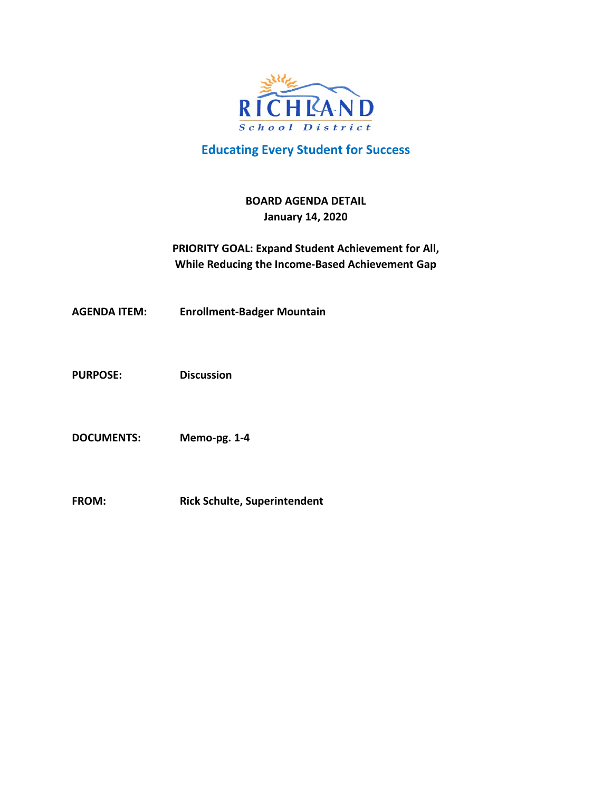

# **Educating Every Student for Success**

## **BOARD AGENDA DETAIL January 14, 2020**

## **PRIORITY GOAL: Expand Student Achievement for All, While Reducing the Income-Based Achievement Gap**

**AGENDA ITEM: Enrollment-Badger Mountain** 

**PURPOSE: Discussion** 

**DOCUMENTS: Memo-pg. 1-4**

**FROM: Rick Schulte, Superintendent**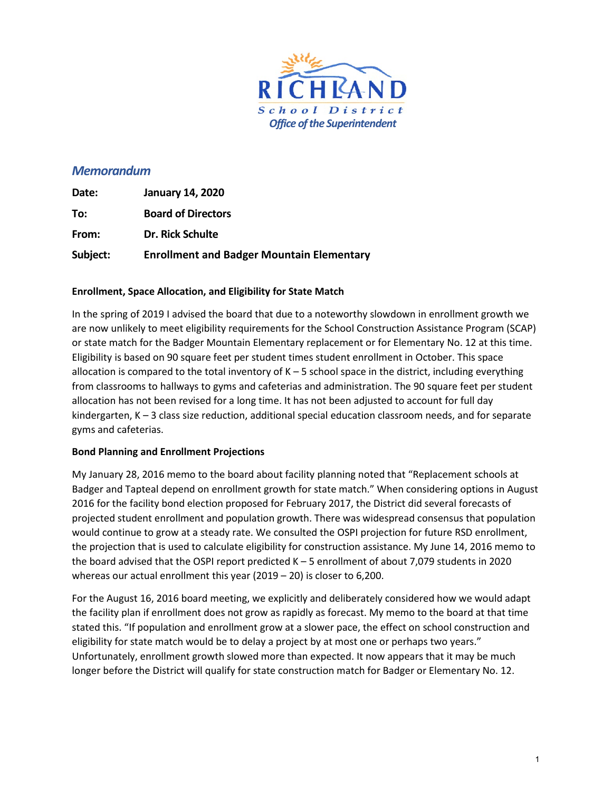

## *Memorandum*

| Date:    | <b>January 14, 2020</b>                          |
|----------|--------------------------------------------------|
| To:      | <b>Board of Directors</b>                        |
| From:    | Dr. Rick Schulte                                 |
| Subject: | <b>Enrollment and Badger Mountain Elementary</b> |

## **Enrollment, Space Allocation, and Eligibility for State Match**

In the spring of 2019 I advised the board that due to a noteworthy slowdown in enrollment growth we are now unlikely to meet eligibility requirements for the School Construction Assistance Program (SCAP) or state match for the Badger Mountain Elementary replacement or for Elementary No. 12 at this time. Eligibility is based on 90 square feet per student times student enrollment in October. This space allocation is compared to the total inventory of  $K - 5$  school space in the district, including everything from classrooms to hallways to gyms and cafeterias and administration. The 90 square feet per student allocation has not been revised for a long time. It has not been adjusted to account for full day kindergarten, K - 3 class size reduction, additional special education classroom needs, and for separate gyms and cafeterias.

## **Bond Planning and Enrollment Projections**

My January 28, 2016 memo to the board about facility planning noted that "Replacement schools at Badger and Tapteal depend on enrollment growth for state match." When considering options in August 2016 for the facility bond election proposed for February 2017, the District did several forecasts of projected student enrollment and population growth. There was widespread consensus that population would continue to grow at a steady rate. We consulted the OSPI projection for future RSD enrollment, the projection that is used to calculate eligibility for construction assistance. My June 14, 2016 memo to the board advised that the OSPI report predicted K – 5 enrollment of about 7,079 students in 2020 whereas our actual enrollment this year (2019 – 20) is closer to 6,200.

For the August 16, 2016 board meeting, we explicitly and deliberately considered how we would adapt the facility plan if enrollment does not grow as rapidly as forecast. My memo to the board at that time stated this. "If population and enrollment grow at a slower pace, the effect on school construction and eligibility for state match would be to delay a project by at most one or perhaps two years." Unfortunately, enrollment growth slowed more than expected. It now appears that it may be much longer before the District will qualify for state construction match for Badger or Elementary No. 12.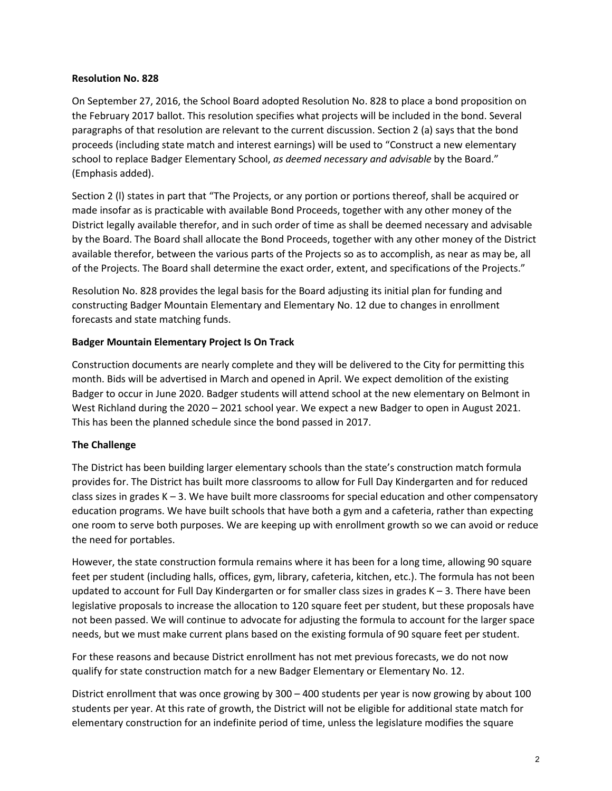#### **Resolution No. 828**

On September 27, 2016, the School Board adopted Resolution No. 828 to place a bond proposition on the February 2017 ballot. This resolution specifies what projects will be included in the bond. Several paragraphs of that resolution are relevant to the current discussion. Section 2 (a) says that the bond proceeds (including state match and interest earnings) will be used to "Construct a new elementary school to replace Badger Elementary School, *as deemed necessary and advisable* by the Board." (Emphasis added).

Section 2 (l) states in part that "The Projects, or any portion or portions thereof, shall be acquired or made insofar as is practicable with available Bond Proceeds, together with any other money of the District legally available therefor, and in such order of time as shall be deemed necessary and advisable by the Board. The Board shall allocate the Bond Proceeds, together with any other money of the District available therefor, between the various parts of the Projects so as to accomplish, as near as may be, all of the Projects. The Board shall determine the exact order, extent, and specifications of the Projects."

Resolution No. 828 provides the legal basis for the Board adjusting its initial plan for funding and constructing Badger Mountain Elementary and Elementary No. 12 due to changes in enrollment forecasts and state matching funds.

### **Badger Mountain Elementary Project Is On Track**

Construction documents are nearly complete and they will be delivered to the City for permitting this month. Bids will be advertised in March and opened in April. We expect demolition of the existing Badger to occur in June 2020. Badger students will attend school at the new elementary on Belmont in West Richland during the 2020 – 2021 school year. We expect a new Badger to open in August 2021. This has been the planned schedule since the bond passed in 2017.

#### **The Challenge**

The District has been building larger elementary schools than the state's construction match formula provides for. The District has built more classrooms to allow for Full Day Kindergarten and for reduced class sizes in grades  $K - 3$ . We have built more classrooms for special education and other compensatory education programs. We have built schools that have both a gym and a cafeteria, rather than expecting one room to serve both purposes. We are keeping up with enrollment growth so we can avoid or reduce the need for portables.

However, the state construction formula remains where it has been for a long time, allowing 90 square feet per student (including halls, offices, gym, library, cafeteria, kitchen, etc.). The formula has not been updated to account for Full Day Kindergarten or for smaller class sizes in grades K – 3. There have been legislative proposals to increase the allocation to 120 square feet per student, but these proposals have not been passed. We will continue to advocate for adjusting the formula to account for the larger space needs, but we must make current plans based on the existing formula of 90 square feet per student.

For these reasons and because District enrollment has not met previous forecasts, we do not now qualify for state construction match for a new Badger Elementary or Elementary No. 12.

District enrollment that was once growing by 300 – 400 students per year is now growing by about 100 students per year. At this rate of growth, the District will not be eligible for additional state match for elementary construction for an indefinite period of time, unless the legislature modifies the square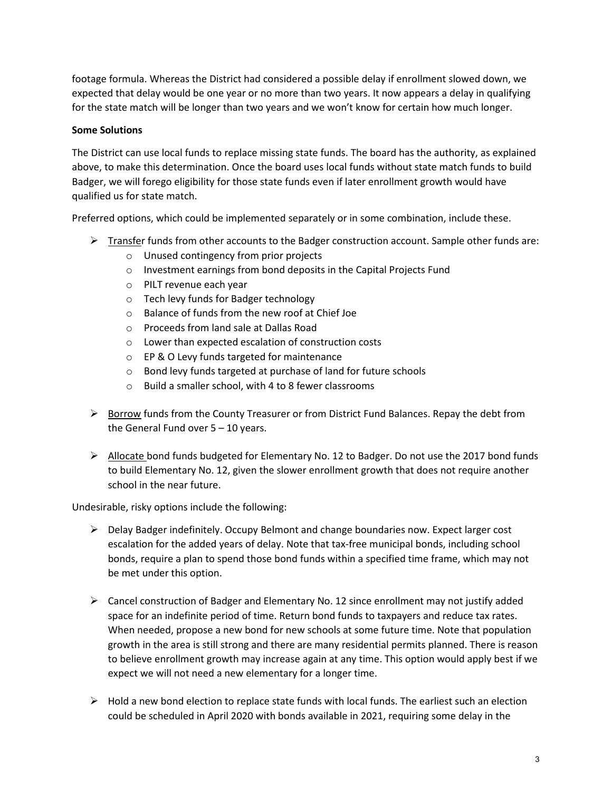footage formula. Whereas the District had considered a possible delay if enrollment slowed down, we expected that delay would be one year or no more than two years. It now appears a delay in qualifying for the state match will be longer than two years and we won't know for certain how much longer.

## **Some Solutions**

The District can use local funds to replace missing state funds. The board has the authority, as explained above, to make this determination. Once the board uses local funds without state match funds to build Badger, we will forego eligibility for those state funds even if later enrollment growth would have qualified us for state match.

Preferred options, which could be implemented separately or in some combination, include these.

- $\triangleright$  Transfer funds from other accounts to the Badger construction account. Sample other funds are:
	- o Unused contingency from prior projects
	- o Investment earnings from bond deposits in the Capital Projects Fund
	- o PILT revenue each year
	- o Tech levy funds for Badger technology
	- o Balance of funds from the new roof at Chief Joe
	- o Proceeds from land sale at Dallas Road
	- o Lower than expected escalation of construction costs
	- o EP & O Levy funds targeted for maintenance
	- o Bond levy funds targeted at purchase of land for future schools
	- o Build a smaller school, with 4 to 8 fewer classrooms
- $\triangleright$  Borrow funds from the County Treasurer or from District Fund Balances. Repay the debt from the General Fund over  $5 - 10$  years.
- $\triangleright$  Allocate bond funds budgeted for Elementary No. 12 to Badger. Do not use the 2017 bond funds to build Elementary No. 12, given the slower enrollment growth that does not require another school in the near future.

Undesirable, risky options include the following:

- $\triangleright$  Delay Badger indefinitely. Occupy Belmont and change boundaries now. Expect larger cost escalation for the added years of delay. Note that tax-free municipal bonds, including school bonds, require a plan to spend those bond funds within a specified time frame, which may not be met under this option.
- $\triangleright$  Cancel construction of Badger and Elementary No. 12 since enrollment may not justify added space for an indefinite period of time. Return bond funds to taxpayers and reduce tax rates. When needed, propose a new bond for new schools at some future time. Note that population growth in the area is still strong and there are many residential permits planned. There is reason to believe enrollment growth may increase again at any time. This option would apply best if we expect we will not need a new elementary for a longer time.
- $\triangleright$  Hold a new bond election to replace state funds with local funds. The earliest such an election could be scheduled in April 2020 with bonds available in 2021, requiring some delay in the